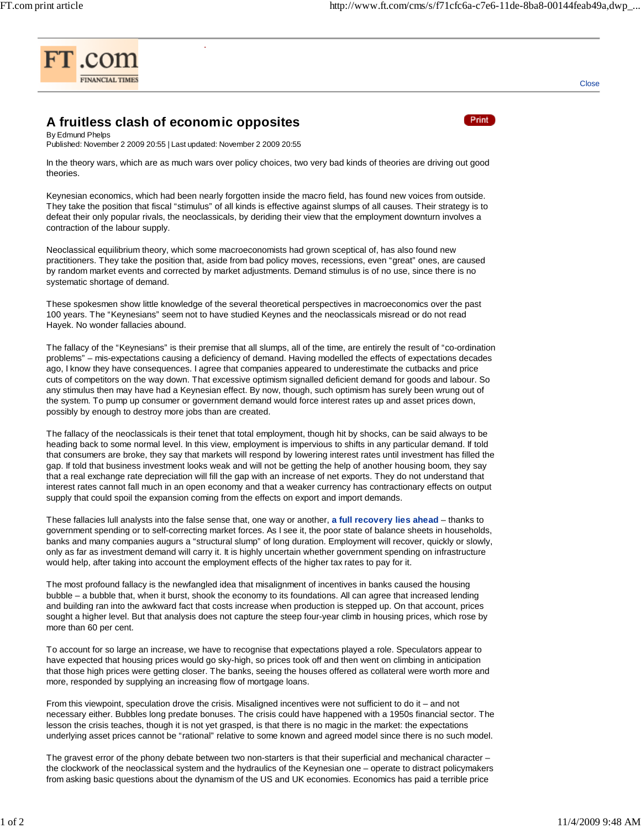

## **A fruitless clash of economic opposites**

COMMENT



**Close** 

By Edmund Phelps Published: November 2 2009 20:55 | Last updated: November 2 2009 20:55

In the theory wars, which are as much wars over policy choices, two very bad kinds of theories are driving out good theories.

Keynesian economics, which had been nearly forgotten inside the macro field, has found new voices from outside. They take the position that fiscal "stimulus" of all kinds is effective against slumps of all causes. Their strategy is to defeat their only popular rivals, the neoclassicals, by deriding their view that the employment downturn involves a contraction of the labour supply.

Neoclassical equilibrium theory, which some macroeconomists had grown sceptical of, has also found new practitioners. They take the position that, aside from bad policy moves, recessions, even "great" ones, are caused by random market events and corrected by market adjustments. Demand stimulus is of no use, since there is no systematic shortage of demand.

These spokesmen show little knowledge of the several theoretical perspectives in macroeconomics over the past 100 years. The "Keynesians" seem not to have studied Keynes and the neoclassicals misread or do not read Hayek. No wonder fallacies abound.

The fallacy of the "Keynesians" is their premise that all slumps, all of the time, are entirely the result of "co-ordination problems" – mis-expectations causing a deficiency of demand. Having modelled the effects of expectations decades ago, I know they have consequences. I agree that companies appeared to underestimate the cutbacks and price cuts of competitors on the way down. That excessive optimism signalled deficient demand for goods and labour. So any stimulus then may have had a Keynesian effect. By now, though, such optimism has surely been wrung out of the system. To pump up consumer or government demand would force interest rates up and asset prices down, possibly by enough to destroy more jobs than are created.

The fallacy of the neoclassicals is their tenet that total employment, though hit by shocks, can be said always to be heading back to some normal level. In this view, employment is impervious to shifts in any particular demand. If told that consumers are broke, they say that markets will respond by lowering interest rates until investment has filled the gap. If told that business investment looks weak and will not be getting the help of another housing boom, they say that a real exchange rate depreciation will fill the gap with an increase of net exports. They do not understand that interest rates cannot fall much in an open economy and that a weaker currency has contractionary effects on output supply that could spoil the expansion coming from the effects on export and import demands.

These fallacies lull analysts into the false sense that, one way or another, **a full recovery lies ahead** – thanks to government spending or to self-correcting market forces. As I see it, the poor state of balance sheets in households, banks and many companies augurs a "structural slump" of long duration. Employment will recover, quickly or slowly, only as far as investment demand will carry it. It is highly uncertain whether government spending on infrastructure would help, after taking into account the employment effects of the higher tax rates to pay for it.

The most profound fallacy is the newfangled idea that misalignment of incentives in banks caused the housing bubble – a bubble that, when it burst, shook the economy to its foundations. All can agree that increased lending and building ran into the awkward fact that costs increase when production is stepped up. On that account, prices sought a higher level. But that analysis does not capture the steep four-year climb in housing prices, which rose by more than 60 per cent.

To account for so large an increase, we have to recognise that expectations played a role. Speculators appear to have expected that housing prices would go sky-high, so prices took off and then went on climbing in anticipation that those high prices were getting closer. The banks, seeing the houses offered as collateral were worth more and more, responded by supplying an increasing flow of mortgage loans.

From this viewpoint, speculation drove the crisis. Misaligned incentives were not sufficient to do it – and not necessary either. Bubbles long predate bonuses. The crisis could have happened with a 1950s financial sector. The lesson the crisis teaches, though it is not yet grasped, is that there is no magic in the market: the expectations underlying asset prices cannot be "rational" relative to some known and agreed model since there is no such model.

The gravest error of the phony debate between two non-starters is that their superficial and mechanical character – the clockwork of the neoclassical system and the hydraulics of the Keynesian one – operate to distract policymakers from asking basic questions about the dynamism of the US and UK economies. Economics has paid a terrible price